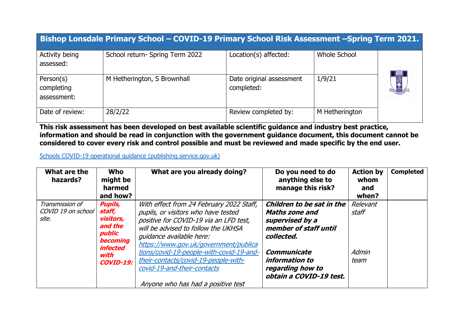|                                        | Bishop Lonsdale Primary School - COVID-19 Primary School Risk Assessment -Spring Term 2021. |                                        |                     |     |
|----------------------------------------|---------------------------------------------------------------------------------------------|----------------------------------------|---------------------|-----|
| Activity being<br>assessed:            | School return- Spring Term 2022                                                             | Location(s) affected:                  | <b>Whole School</b> |     |
| Person(s)<br>completing<br>assessment: | M Hetherington, S Brownhall                                                                 | Date original assessment<br>completed: | 1/9/21              | 国会区 |
| Date of review:                        | 28/2/22                                                                                     | Review completed by:                   | M Hetherington      |     |

**This risk assessment has been developed on best available scientific guidance and industry best practice, information and should be read in conjunction with the government guidance document, this document cannot be considered to cover every risk and control possible and must be reviewed and made specific by the end user.** 

[Schools COVID-19 operational guidance \(publishing.service.gov.uk\)](https://assets.publishing.service.gov.uk/government/uploads/system/uploads/attachment_data/file/999689/Schools_guidance_Step_4_update_FINAL.pdf)

| What are the<br>hazards?                       | <b>Who</b><br>might be<br>harmed<br>and how?                                                                                 | What are you already doing?                                                                                                                                                                                                                                                                                                                                                                    | Do you need to do<br>anything else to<br>manage this risk?                                                                                                                                   | <b>Action by</b><br>whom<br>and<br>when? | <b>Completed</b> |
|------------------------------------------------|------------------------------------------------------------------------------------------------------------------------------|------------------------------------------------------------------------------------------------------------------------------------------------------------------------------------------------------------------------------------------------------------------------------------------------------------------------------------------------------------------------------------------------|----------------------------------------------------------------------------------------------------------------------------------------------------------------------------------------------|------------------------------------------|------------------|
| Transmission of<br>COVID 19 on school<br>site. | <b>Pupils,</b><br>staff,<br>visitors,<br>and the<br>public<br><b>becoming</b><br><i>infected</i><br>with<br><b>COVID-19:</b> | With effect from 24 February 2022 Staff,<br>pupils, or visitors who have tested<br>positive for COVID-19 via an LFD test,<br>will be advised to follow the UKHSA<br>quidance available here:<br>https://www.gov.uk/government/publica<br>tions/covid-19-people-with-covid-19-and-<br>their-contacts/covid-19-people-with-<br>covid-19-and-their-contacts<br>Anyone who has had a positive test | Children to be sat in the<br><b>Maths zone and</b><br>supervised by a<br>member of staff until<br>collected.<br>Communicate<br>information to<br>regarding how to<br>obtain a COVID-19 test. | Relevant<br>staff<br>Admin<br>team       |                  |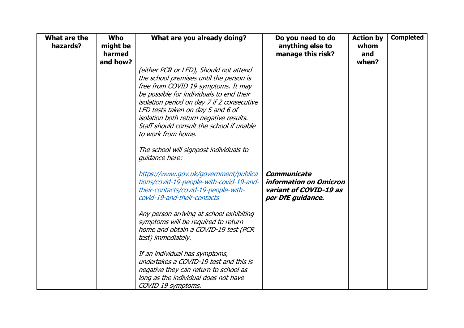| What are the<br>hazards? | <b>Who</b><br>might be<br>harmed<br>and how? | What are you already doing?                                                                                                                                                                                                                                                                                                                                                                                                                                                                                                                                                                                                                                                                                                                                                                                                                                          | Do you need to do<br>anything else to<br>manage this risk?                                         | <b>Action by</b><br>whom<br>and<br>when? | <b>Completed</b> |
|--------------------------|----------------------------------------------|----------------------------------------------------------------------------------------------------------------------------------------------------------------------------------------------------------------------------------------------------------------------------------------------------------------------------------------------------------------------------------------------------------------------------------------------------------------------------------------------------------------------------------------------------------------------------------------------------------------------------------------------------------------------------------------------------------------------------------------------------------------------------------------------------------------------------------------------------------------------|----------------------------------------------------------------------------------------------------|------------------------------------------|------------------|
|                          |                                              | (either PCR or LFD), Should not attend<br>the school premises until the person is<br>free from COVID 19 symptoms. It may<br>be possible for individuals to end their<br>isolation period on day 7 if 2 consecutive<br>LFD tests taken on day 5 and 6 of<br>isolation both return negative results.<br>Staff should consult the school if unable<br>to work from home.<br>The school will signpost individuals to<br>quidance here:<br>https://www.gov.uk/government/publica<br>tions/covid-19-people-with-covid-19-and-<br>their-contacts/covid-19-people-with-<br>covid-19-and-their-contacts<br>Any person arriving at school exhibiting<br>symptoms will be required to return<br>home and obtain a COVID-19 test (PCR<br>test) immediately.<br>If an individual has symptoms,<br>undertakes a COVID-19 test and this is<br>negative they can return to school as | <b>Communicate</b><br><i>information on Omicron</i><br>variant of COVID-19 as<br>per DfE guidance. |                                          |                  |
|                          |                                              | long as the individual does not have<br>COVID 19 symptoms.                                                                                                                                                                                                                                                                                                                                                                                                                                                                                                                                                                                                                                                                                                                                                                                                           |                                                                                                    |                                          |                  |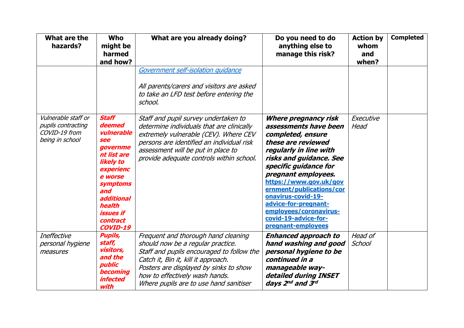| What are the<br>hazards?                                                      | <b>Who</b><br>might be<br>harmed<br>and how?                                                                                                                                                                                                                                                                                                                                                                                                                                         | What are you already doing?                                                                                                                                                                                                                                                        | Do you need to do<br>anything else to<br>manage this risk?                                                                                                                                                                                                                                                                                                                       | <b>Action by</b><br>whom<br>and<br>when? | <b>Completed</b> |
|-------------------------------------------------------------------------------|--------------------------------------------------------------------------------------------------------------------------------------------------------------------------------------------------------------------------------------------------------------------------------------------------------------------------------------------------------------------------------------------------------------------------------------------------------------------------------------|------------------------------------------------------------------------------------------------------------------------------------------------------------------------------------------------------------------------------------------------------------------------------------|----------------------------------------------------------------------------------------------------------------------------------------------------------------------------------------------------------------------------------------------------------------------------------------------------------------------------------------------------------------------------------|------------------------------------------|------------------|
|                                                                               |                                                                                                                                                                                                                                                                                                                                                                                                                                                                                      | Government self-isolation quidance<br>All parents/carers and visitors are asked<br>to take an LFD test before entering the<br>school.                                                                                                                                              |                                                                                                                                                                                                                                                                                                                                                                                  |                                          |                  |
| Vulnerable staff or<br>pupils contracting<br>COVID-19 from<br>being in school | <b>Staff</b><br>Staff and pupil survey undertaken to<br>deemed<br>determine individuals that are clinically<br>vulnerable<br>extremely vulnerable (CEV). Where CEV<br>see<br>persons are identified an individual risk<br>governme<br>assessment will be put in place to<br>nt list are<br>provide adequate controls within school.<br><b>likely to</b><br>experienc<br>e worse<br>symptoms<br>and<br>additional<br>health<br><i><b>issues if</b></i><br>contract<br><b>COVID-19</b> |                                                                                                                                                                                                                                                                                    | <b>Where pregnancy risk</b><br>assessments have been<br>completed, ensure<br>these are reviewed<br>regularly in line with<br>risks and guidance. See<br>specific guidance for<br>pregnant employees.<br>https://www.gov.uk/gov<br>ernment/publications/cor<br>onavirus-covid-19-<br>advice-for-pregnant-<br>employees/coronavirus-<br>covid-19-advice-for-<br>pregnant-employees | Executive<br>Head                        |                  |
| <b>Ineffective</b><br>personal hygiene<br>measures                            | <b>Pupils,</b><br>staff,<br>visitors,<br>and the<br>public<br><b>becoming</b><br><i>infected</i><br>with                                                                                                                                                                                                                                                                                                                                                                             | Frequent and thorough hand cleaning<br>should now be a regular practice.<br>Staff and pupils encouraged to follow the<br>Catch it, Bin it, kill it approach.<br>Posters are displayed by sinks to show<br>how to effectively wash hands.<br>Where pupils are to use hand sanitiser | <b>Enhanced approach to</b><br>hand washing and good<br>personal hygiene to be<br>continued in a<br>manageable way-<br>detailed during INSET<br>days 2 <sup>nd</sup> and 3rd                                                                                                                                                                                                     | Head of<br>School                        |                  |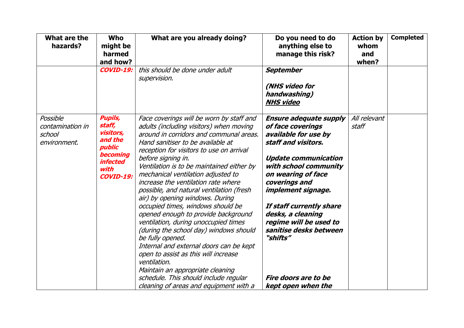| What are the<br>hazards?                               | <b>Who</b><br>might be<br>harmed<br>and how?                                                                                 | What are you already doing?                                                                                                                                                                                                                                                                                                                                                                                                                                                                                                                                                                                                                                                                                                                                                                                                                                | Do you need to do<br>anything else to<br>manage this risk?                                                                                                                                                                                                                                                                                                                            | <b>Action by</b><br>whom<br>and<br>when? | <b>Completed</b> |
|--------------------------------------------------------|------------------------------------------------------------------------------------------------------------------------------|------------------------------------------------------------------------------------------------------------------------------------------------------------------------------------------------------------------------------------------------------------------------------------------------------------------------------------------------------------------------------------------------------------------------------------------------------------------------------------------------------------------------------------------------------------------------------------------------------------------------------------------------------------------------------------------------------------------------------------------------------------------------------------------------------------------------------------------------------------|---------------------------------------------------------------------------------------------------------------------------------------------------------------------------------------------------------------------------------------------------------------------------------------------------------------------------------------------------------------------------------------|------------------------------------------|------------------|
|                                                        | <b>COVID-19:</b>                                                                                                             | this should be done under adult<br>supervision.                                                                                                                                                                                                                                                                                                                                                                                                                                                                                                                                                                                                                                                                                                                                                                                                            | <b>September</b><br>(NHS video for<br>handwashing)<br><b>NHS video</b>                                                                                                                                                                                                                                                                                                                |                                          |                  |
| Possible<br>contamination in<br>school<br>environment. | <b>Pupils,</b><br>staff,<br>visitors,<br>and the<br>public<br><b>becoming</b><br><i>infected</i><br>with<br><b>COVID-19:</b> | Face coverings will be worn by staff and<br>adults (including visitors) when moving<br>around in corridors and communal areas.<br>Hand sanitiser to be available at<br>reception for visitors to use on arrival<br>before signing in.<br>Ventilation is to be maintained either by<br>mechanical ventilation adjusted to<br>increase the ventilation rate where<br>possible, and natural ventilation (fresh<br>air) by opening windows. During<br>occupied times, windows should be<br>opened enough to provide background<br>ventilation, during unoccupied times<br>(during the school day) windows should<br>be fully opened.<br>Internal and external doors can be kept<br>open to assist as this will increase<br>ventilation.<br>Maintain an appropriate cleaning<br>schedule. This should include regular<br>cleaning of areas and equipment with a | <b>Ensure adequate supply</b><br>of face coverings<br>available for use by<br>staff and visitors.<br><b>Update communication</b><br>with school community<br>on wearing of face<br>coverings and<br>implement signage.<br>If staff currently share<br>desks, a cleaning<br>regime will be used to<br>sanitise desks between<br>"shifts"<br>Fire doors are to be<br>kept open when the | All relevant<br>staff                    |                  |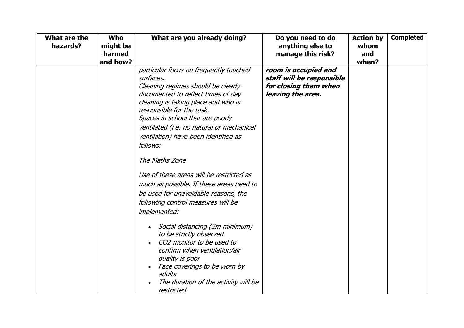| What are the<br>hazards? | <b>Who</b><br>might be<br>harmed<br>and how? | What are you already doing?                                                                                                                                                                                                                                                                                                                                                                                                                                                                                                                                                                                                                                                                                                                                                                          | Do you need to do<br>anything else to<br>manage this risk?                                      | <b>Action by</b><br>whom<br>and<br>when? | <b>Completed</b> |
|--------------------------|----------------------------------------------|------------------------------------------------------------------------------------------------------------------------------------------------------------------------------------------------------------------------------------------------------------------------------------------------------------------------------------------------------------------------------------------------------------------------------------------------------------------------------------------------------------------------------------------------------------------------------------------------------------------------------------------------------------------------------------------------------------------------------------------------------------------------------------------------------|-------------------------------------------------------------------------------------------------|------------------------------------------|------------------|
|                          |                                              | particular focus on frequently touched<br>surfaces.<br>Cleaning regimes should be clearly<br>documented to reflect times of day<br>cleaning is taking place and who is<br>responsible for the task.<br>Spaces in school that are poorly<br>ventilated (i.e. no natural or mechanical<br>ventilation) have been identified as<br>follows:<br>The Maths Zone<br>Use of these areas will be restricted as<br>much as possible. If these areas need to<br>be used for unavoidable reasons, the<br>following control measures will be<br><i>implemented:</i><br>Social distancing (2m minimum)<br>to be strictly observed<br>CO2 monitor to be used to<br>confirm when ventilation/air<br>quality is poor<br>Face coverings to be worn by<br>adults<br>The duration of the activity will be<br>restricted | room is occupied and<br>staff will be responsible<br>for closing them when<br>leaving the area. |                                          |                  |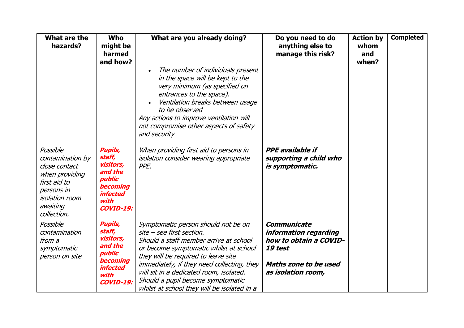| What are the<br>hazards?                                                                                                                          | <b>Who</b><br>might be<br>harmed<br>and how?                                                                                        | What are you already doing?                                                                                                                                                                                                                                                                                                                                              | Do you need to do<br>anything else to<br>manage this risk?                                                               | <b>Action by</b><br>whom<br>and<br>when? | <b>Completed</b> |
|---------------------------------------------------------------------------------------------------------------------------------------------------|-------------------------------------------------------------------------------------------------------------------------------------|--------------------------------------------------------------------------------------------------------------------------------------------------------------------------------------------------------------------------------------------------------------------------------------------------------------------------------------------------------------------------|--------------------------------------------------------------------------------------------------------------------------|------------------------------------------|------------------|
|                                                                                                                                                   |                                                                                                                                     | The number of individuals present<br>$\bullet$<br>in the space will be kept to the<br>very minimum (as specified on<br>entrances to the space).<br>Ventilation breaks between usage<br>to be observed<br>Any actions to improve ventilation will<br>not compromise other aspects of safety<br>and security                                                               |                                                                                                                          |                                          |                  |
| Possible<br>contamination by<br>close contact<br>when providing<br>first aid to<br>persons in<br><i>isolation room</i><br>awaiting<br>collection. | <b>Pupils,</b><br>staff,<br>visitors,<br>and the<br>public<br>becoming<br><i>infected</i><br>with<br><b>COVID-19:</b>               | When providing first aid to persons in<br>isolation consider wearing appropriate<br>PPE.                                                                                                                                                                                                                                                                                 | <b>PPE</b> available if<br>supporting a child who<br>is symptomatic.                                                     |                                          |                  |
| Possible<br>contamination<br>from a<br>symptomatic<br>person on site                                                                              | <b>Pupils,</b><br>staff,<br>visitors,<br>and the<br>public<br><b>becoming</b><br><i><b>infected</b></i><br>with<br><b>COVID-19:</b> | Symptomatic person should not be on<br>site - see first section.<br>Should a staff member arrive at school<br>or become symptomatic whilst at school<br>they will be required to leave site<br>immediately, if they need collecting, they<br>will sit in a dedicated room, isolated.<br>Should a pupil become symptomatic<br>whilst at school they will be isolated in a | Communicate<br>information regarding<br>how to obtain a COVID-<br>19 test<br>Maths zone to be used<br>as isolation room, |                                          |                  |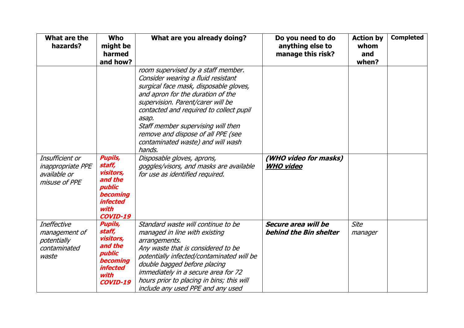| What are the<br>hazards?                                                     | <b>Who</b><br>might be<br>harmed<br>and how?                                                                                                          | What are you already doing?                                                                                                                                                                                                                                                                                                                                                                                                                                                             | Do you need to do<br>anything else to<br>manage this risk? | <b>Action by</b><br>whom<br>and<br>when? | <b>Completed</b> |
|------------------------------------------------------------------------------|-------------------------------------------------------------------------------------------------------------------------------------------------------|-----------------------------------------------------------------------------------------------------------------------------------------------------------------------------------------------------------------------------------------------------------------------------------------------------------------------------------------------------------------------------------------------------------------------------------------------------------------------------------------|------------------------------------------------------------|------------------------------------------|------------------|
| Insufficient or<br><i>inappropriate PPE</i><br>available or<br>misuse of PPE | <b>Pupils,</b><br>staff,<br>visitors,<br>and the<br>public<br><b>becoming</b><br><i>infected</i><br>with                                              | room supervised by a staff member.<br>Consider wearing a fluid resistant<br>surgical face mask, disposable gloves,<br>and apron for the duration of the<br>supervision. Parent/carer will be<br>contacted and required to collect pupil<br>asap.<br>Staff member supervising will then<br>remove and dispose of all PPE (see<br>contaminated waste) and will wash<br>hands.<br>Disposable gloves, aprons,<br>goggles/visors, and masks are available<br>for use as identified required. | (WHO video for masks)<br><b>WHO video</b>                  |                                          |                  |
| <b>Ineffective</b><br>management of<br>potentially<br>contaminated<br>waste  | <b>COVID-19</b><br><b>Pupils,</b><br>staff,<br>visitors,<br>and the<br>public<br><b>becoming</b><br><i><b>infected</b></i><br>with<br><b>COVID-19</b> | Standard waste will continue to be<br>managed in line with existing<br>arrangements.<br>Any waste that is considered to be<br>potentially infected/contaminated will be<br>double bagged before placing<br>immediately in a secure area for 72<br>hours prior to placing in bins; this will<br>include any used PPE and any used                                                                                                                                                        | Secure area will be<br>behind the Bin shelter              | <b>Site</b><br>manager                   |                  |